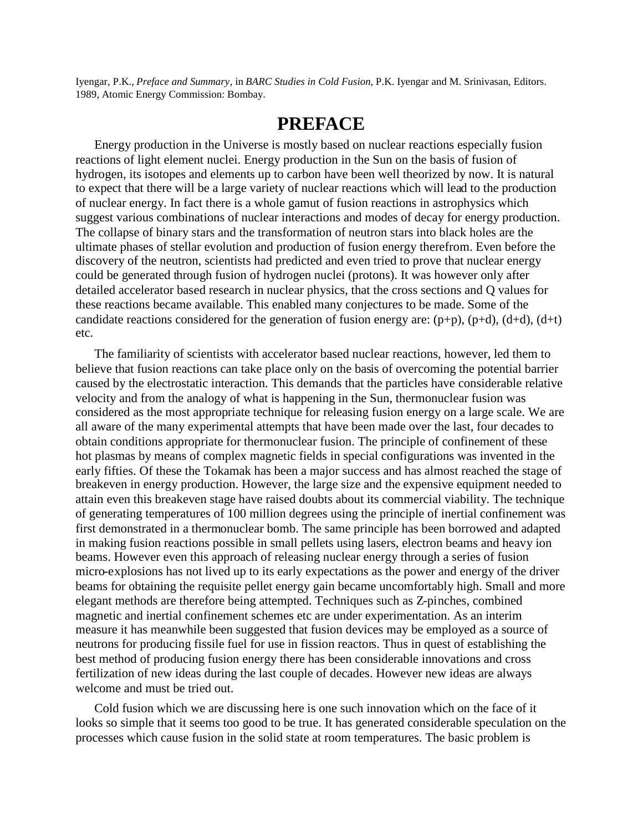Iyengar, P.K., *Preface and Summary*, in *BARC Studies in Cold Fusion*, P.K. Iyengar and M. Srinivasan, Editors. 1989, Atomic Energy Commission: Bombay.

# **PREFACE**

Energy production in the Universe is mostly based on nuclear reactions especially fusion reactions of light element nuclei. Energy production in the Sun on the basis of fusion of hydrogen, its isotopes and elements up to carbon have been well theorized by now. It is natural to expect that there will be a large variety of nuclear reactions which will lead to the production of nuclear energy. In fact there is a whole gamut of fusion reactions in astrophysics which suggest various combinations of nuclear interactions and modes of decay for energy production. The collapse of binary stars and the transformation of neutron stars into black holes are the ultimate phases of stellar evolution and production of fusion energy therefrom. Even before the discovery of the neutron, scientists had predicted and even tried to prove that nuclear energy could be generated through fusion of hydrogen nuclei (protons). It was however only after detailed accelerator based research in nuclear physics, that the cross sections and Q values for these reactions became available. This enabled many conjectures to be made. Some of the candidate reactions considered for the generation of fusion energy are:  $(p+p)$ ,  $(p+d)$ ,  $(d+d)$ ,  $(d+t)$ etc.

The familiarity of scientists with accelerator based nuclear reactions, however, led them to believe that fusion reactions can take place only on the basis of overcoming the potential barrier caused by the electrostatic interaction. This demands that the particles have considerable relative velocity and from the analogy of what is happening in the Sun, thermonuclear fusion was considered as the most appropriate technique for releasing fusion energy on a large scale. We are all aware of the many experimental attempts that have been made over the last, four decades to obtain conditions appropriate for thermonuclear fusion. The principle of confinement of these hot plasmas by means of complex magnetic fields in special configurations was invented in the early fifties. Of these the Tokamak has been a major success and has almost reached the stage of breakeven in energy production. However, the large size and the expensive equipment needed to attain even this breakeven stage have raised doubts about its commercial viability. The technique of generating temperatures of 100 million degrees using the principle of inertial confinement was first demonstrated in a thermonuclear bomb. The same principle has been borrowed and adapted in making fusion reactions possible in small pellets using lasers, electron beams and heavy ion beams. However even this approach of releasing nuclear energy through a series of fusion micro-explosions has not lived up to its early expectations as the power and energy of the driver beams for obtaining the requisite pellet energy gain became uncomfortably high. Small and more elegant methods are therefore being attempted. Techniques such as Z-pinches, combined magnetic and inertial confinement schemes etc are under experimentation. As an interim measure it has meanwhile been suggested that fusion devices may be employed as a source of neutrons for producing fissile fuel for use in fission reactors. Thus in quest of establishing the best method of producing fusion energy there has been considerable innovations and cross fertilization of new ideas during the last couple of decades. However new ideas are always welcome and must be tried out.

Cold fusion which we are discussing here is one such innovation which on the face of it looks so simple that it seems too good to be true. It has generated considerable speculation on the processes which cause fusion in the solid state at room temperatures. The basic problem is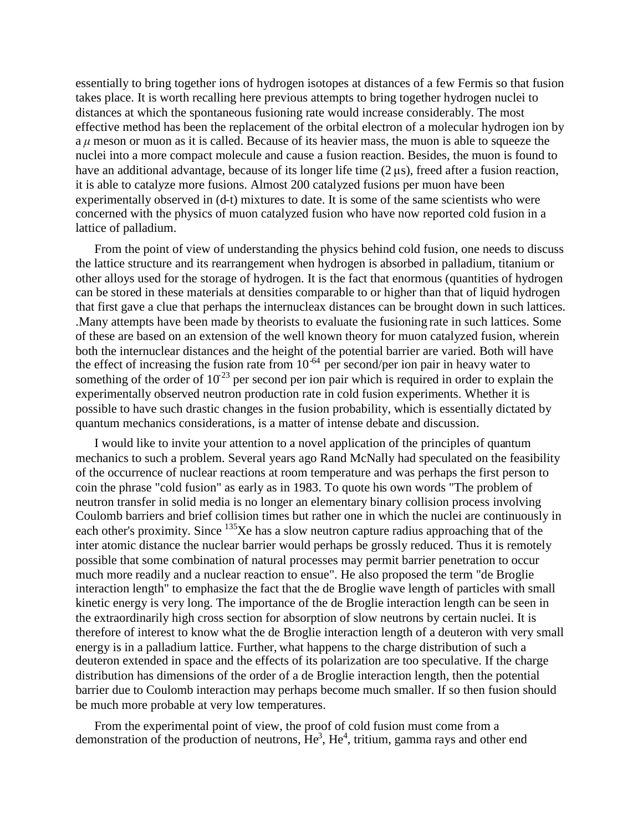essentially to bring together ions of hydrogen isotopes at distances of a few Fermis so that fusion takes place. It is worth recalling here previous attempts to bring together hydrogen nuclei to distances at which the spontaneous fusioning rate would increase considerably. The most effective method has been the replacement of the orbital electron of a molecular hydrogen ion by a *μ*meson or muon as it is called. Because of its heavier mass, the muon is able to squeeze the nuclei into a more compact molecule and cause a fusion reaction. Besides, the muon is found to have an additional advantage, because of its longer life time (2 μs), freed after a fusion reaction, it is able to catalyze more fusions. Almost 200 catalyzed fusions per muon have been experimentally observed in (d-t) mixtures to date. It is some of the same scientists who were concerned with the physics of muon catalyzed fusion who have now reported cold fusion in a lattice of palladium.

From the point of view of understanding the physics behind cold fusion, one needs to discuss the lattice structure and its rearrangement when hydrogen is absorbed in palladium, titanium or other alloys used for the storage of hydrogen. It is the fact that enormous (quantities of hydrogen can be stored in these materials at densities comparable to or higher than that of liquid hydrogen that first gave a clue that perhaps the internucleax distances can be brought down in such lattices. .Many attempts have been made by theorists to evaluate the fusioning rate in such lattices. Some of these are based on an extension of the well known theory for muon catalyzed fusion, wherein both the internuclear distances and the height of the potential barrier are varied. Both will have the effect of increasing the fusion rate from  $10^{-64}$  per second/per ion pair in heavy water to something of the order of  $10^{23}$  per second per ion pair which is required in order to explain the experimentally observed neutron production rate in cold fusion experiments. Whether it is possible to have such drastic changes in the fusion probability, which is essentially dictated by quantum mechanics considerations, is a matter of intense debate and discussion.

I would like to invite your attention to a novel application of the principles of quantum mechanics to such a problem. Several years ago Rand McNally had speculated on the feasibility of the occurrence of nuclear reactions at room temperature and was perhaps the first person to coin the phrase "cold fusion" as early as in 1983. To quote his own words "The problem of neutron transfer in solid media is no longer an elementary binary collision process involving Coulomb barriers and brief collision times but rather one in which the nuclei are continuously in each other's proximity. Since <sup>135</sup>Xe has a slow neutron capture radius approaching that of the inter atomic distance the nuclear barrier would perhaps be grossly reduced. Thus it is remotely possible that some combination of natural processes may permit barrier penetration to occur much more readily and a nuclear reaction to ensue". He also proposed the term "de Broglie interaction length" to emphasize the fact that the de Broglie wave length of particles with small kinetic energy is very long. The importance of the de Broglie interaction length can be seen in the extraordinarily high cross section for absorption of slow neutrons by certain nuclei. It is therefore of interest to know what the de Broglie interaction length of a deuteron with very small energy is in a palladium lattice. Further, what happens to the charge distribution of such a deuteron extended in space and the effects of its polarization are too speculative. If the charge distribution has dimensions of the order of a de Broglie interaction length, then the potential barrier due to Coulomb interaction may perhaps become much smaller. If so then fusion should be much more probable at very low temperatures.

From the experimental point of view, the proof of cold fusion must come from a demonstration of the production of neutrons,  $\text{He}^3$ ,  $\text{He}^4$ , tritium, gamma rays and other end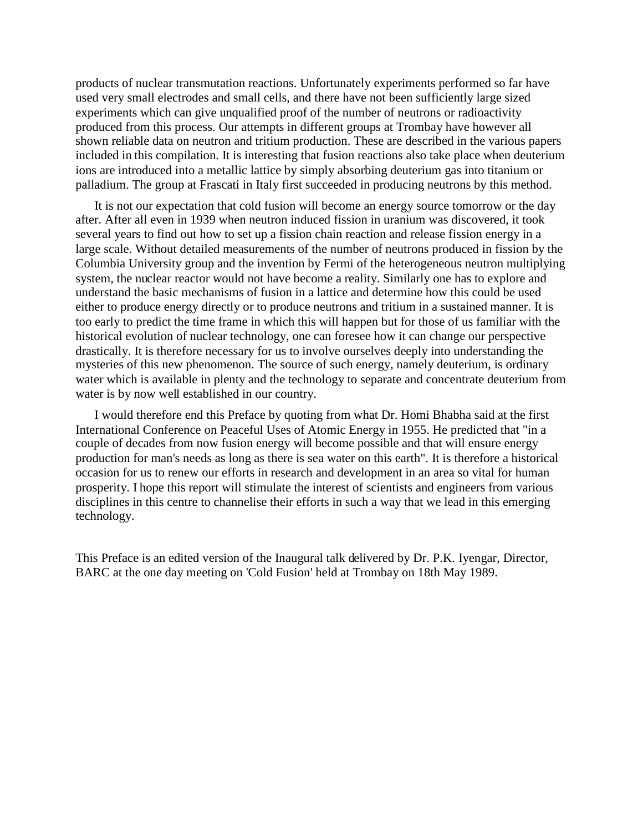products of nuclear transmutation reactions. Unfortunately experiments performed so far have used very small electrodes and small cells, and there have not been sufficiently large sized experiments which can give unqualified proof of the number of neutrons or radioactivity produced from this process. Our attempts in different groups at Trombay have however all shown reliable data on neutron and tritium production. These are described in the various papers included in this compilation. It is interesting that fusion reactions also take place when deuterium ions are introduced into a metallic lattice by simply absorbing deuterium gas into titanium or palladium. The group at Frascati in Italy first succeeded in producing neutrons by this method.

It is not our expectation that cold fusion will become an energy source tomorrow or the day after. After all even in 1939 when neutron induced fission in uranium was discovered, it took several years to find out how to set up a fission chain reaction and release fission energy in a large scale. Without detailed measurements of the number of neutrons produced in fission by the Columbia University group and the invention by Fermi of the heterogeneous neutron multiplying system, the nuclear reactor would not have become a reality. Similarly one has to explore and understand the basic mechanisms of fusion in a lattice and determine how this could be used either to produce energy directly or to produce neutrons and tritium in a sustained manner. It is too early to predict the time frame in which this will happen but for those of us familiar with the historical evolution of nuclear technology, one can foresee how it can change our perspective drastically. It is therefore necessary for us to involve ourselves deeply into understanding the mysteries of this new phenomenon. The source of such energy, namely deuterium, is ordinary water which is available in plenty and the technology to separate and concentrate deuterium from water is by now well established in our country.

I would therefore end this Preface by quoting from what Dr. Homi Bhabha said at the first International Conference on Peaceful Uses of Atomic Energy in 1955. He predicted that "in a couple of decades from now fusion energy will become possible and that will ensure energy production for man's needs as long as there is sea water on this earth". It is therefore a historical occasion for us to renew our efforts in research and development in an area so vital for human prosperity. I hope this report will stimulate the interest of scientists and engineers from various disciplines in this centre to channelise their efforts in such a way that we lead in this emerging technology.

This Preface is an edited version of the Inaugural talk delivered by Dr. P.K. Iyengar, Director, BARC at the one day meeting on 'Cold Fusion' held at Trombay on 18th May 1989.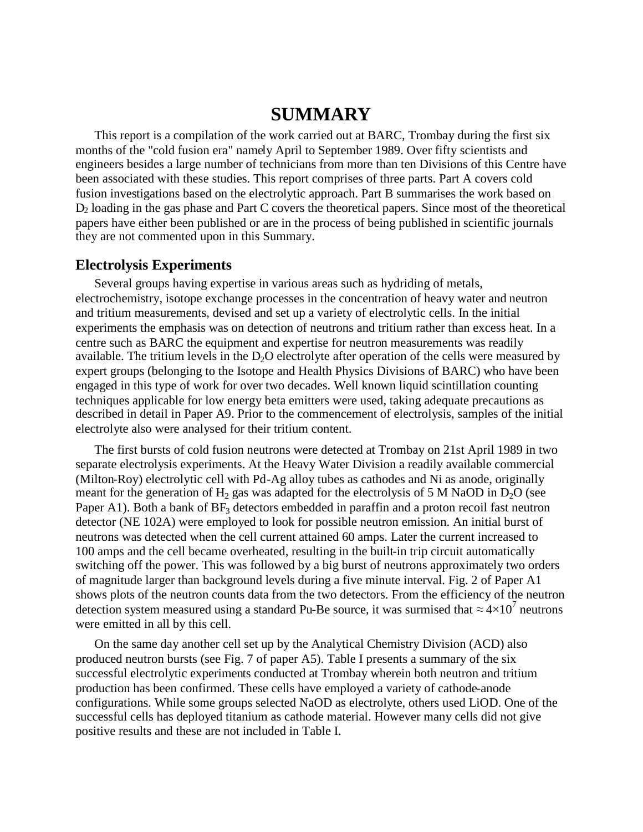## **SUMMARY**

This report is a compilation of the work carried out at BARC, Trombay during the first six months of the "cold fusion era" namely April to September 1989. Over fifty scientists and engineers besides a large number of technicians from more than ten Divisions of this Centre have been associated with these studies. This report comprises of three parts. Part A covers cold fusion investigations based on the electrolytic approach. Part B summarises the work based on D<sup>2</sup> loading in the gas phase and Part C covers the theoretical papers. Since most of the theoretical papers have either been published or are in the process of being published in scientific journals they are not commented upon in this Summary.

#### **Electrolysis Experiments**

Several groups having expertise in various areas such as hydriding of metals, electrochemistry, isotope exchange processes in the concentration of heavy water and neutron and tritium measurements, devised and set up a variety of electrolytic cells. In the initial experiments the emphasis was on detection of neutrons and tritium rather than excess heat. In a centre such as BARC the equipment and expertise for neutron measurements was readily available. The tritium levels in the  $D_2O$  electrolyte after operation of the cells were measured by expert groups (belonging to the Isotope and Health Physics Divisions of BARC) who have been engaged in this type of work for over two decades. Well known liquid scintillation counting techniques applicable for low energy beta emitters were used, taking adequate precautions as described in detail in Paper A9. Prior to the commencement of electrolysis, samples of the initial electrolyte also were analysed for their tritium content.

The first bursts of cold fusion neutrons were detected at Trombay on 21st April 1989 in two separate electrolysis experiments. At the Heavy Water Division a readily available commercial (Milton-Roy) electrolytic cell with Pd-Ag alloy tubes as cathodes and Ni as anode, originally meant for the generation of  $H_2$  gas was adapted for the electrolysis of 5 M NaOD in D<sub>2</sub>O (see Paper A1). Both a bank of  $BF_3$  detectors embedded in paraffin and a proton recoil fast neutron detector (NE 102A) were employed to look for possible neutron emission. An initial burst of neutrons was detected when the cell current attained 60 amps. Later the current increased to 100 amps and the cell became overheated, resulting in the built-in trip circuit automatically switching off the power. This was followed by a big burst of neutrons approximately two orders of magnitude larger than background levels during a five minute interval. Fig. 2 of Paper A1 shows plots of the neutron counts data from the two detectors. From the efficiency of the neutron detection system measured using a standard Pu-Be source, it was surmised that  $\approx 4 \times 10^7$  neutrons were emitted in all by this cell.

On the same day another cell set up by the Analytical Chemistry Division (ACD) also produced neutron bursts (see Fig. 7 of paper A5). Table I presents a summary of the six successful electrolytic experiments conducted at Trombay wherein both neutron and tritium production has been confirmed. These cells have employed a variety of cathode-anode configurations. While some groups selected NaOD as electrolyte, others used LiOD. One of the successful cells has deployed titanium as cathode material. However many cells did not give positive results and these are not included in Table I.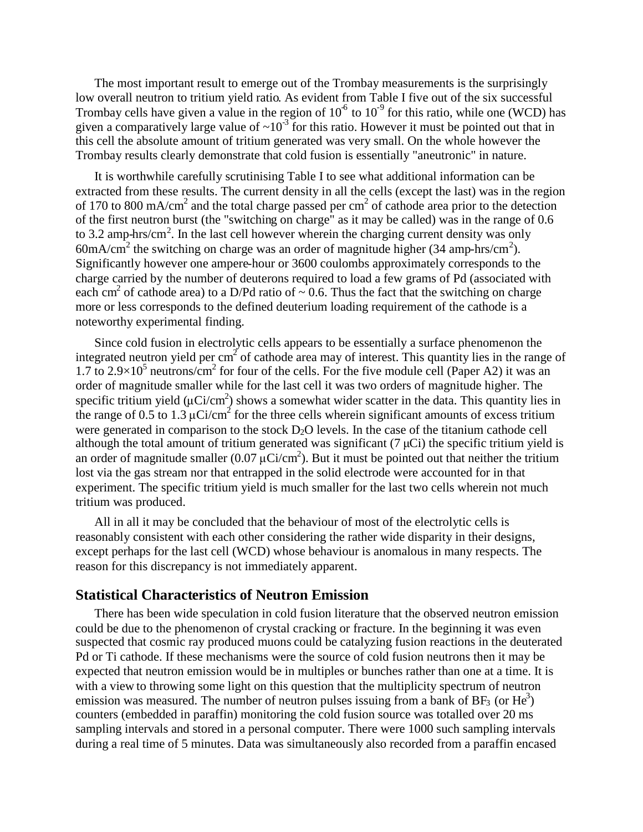The most important result to emerge out of the Trombay measurements is the surprisingly low overall neutron to tritium yield ratio. As evident from Table I five out of the six successful Trombay cells have given a value in the region of  $10<sup>6</sup>$  to  $10<sup>-9</sup>$  for this ratio, while one (WCD) has given a comparatively large value of  $\sim 10^{-3}$  for this ratio. However it must be pointed out that in this cell the absolute amount of tritium generated was very small. On the whole however the Trombay results clearly demonstrate that cold fusion is essentially "aneutronic" in nature.

It is worthwhile carefully scrutinising Table I to see what additional information can be extracted from these results. The current density in all the cells (except the last) was in the region of 170 to 800 mA/cm<sup>2</sup> and the total charge passed per cm<sup>2</sup> of cathode area prior to the detection of the first neutron burst (the "switching on charge" as it may be called) was in the range of 0.6 to 3.2 amp-hrs/cm<sup>2</sup>. In the last cell however wherein the charging current density was only 60mA/cm<sup>2</sup> the switching on charge was an order of magnitude higher (34 amp-hrs/cm<sup>2</sup>). Significantly however one ampere-hour or 3600 coulombs approximately corresponds to the charge carried by the number of deuterons required to load a few grams of Pd (associated with each cm<sup>2</sup> of cathode area) to a D/Pd ratio of  $\sim$  0.6. Thus the fact that the switching on charge more or less corresponds to the defined deuterium loading requirement of the cathode is a noteworthy experimental finding.

Since cold fusion in electrolytic cells appears to be essentially a surface phenomenon the integrated neutron yield per cm<sup>2</sup> of cathode area may of interest. This quantity lies in the range of 1.7 to  $2.9 \times 10^5$  neutrons/cm<sup>2</sup> for four of the cells. For the five module cell (Paper A2) it was an order of magnitude smaller while for the last cell it was two orders of magnitude higher. The specific tritium yield ( $\mu$ Ci/cm<sup>2</sup>) shows a somewhat wider scatter in the data. This quantity lies in the range of 0.5 to 1.3  $\mu$ Ci/cm<sup>2</sup> for the three cells wherein significant amounts of excess tritium were generated in comparison to the stock  $D<sub>2</sub>O$  levels. In the case of the titanium cathode cell although the total amount of tritium generated was significant  $(7 \mu\text{C})$  the specific tritium yield is an order of magnitude smaller (0.07  $\mu$ Ci/cm<sup>2</sup>). But it must be pointed out that neither the tritium lost via the gas stream nor that entrapped in the solid electrode were accounted for in that experiment. The specific tritium yield is much smaller for the last two cells wherein not much tritium was produced.

All in all it may be concluded that the behaviour of most of the electrolytic cells is reasonably consistent with each other considering the rather wide disparity in their designs, except perhaps for the last cell (WCD) whose behaviour is anomalous in many respects. The reason for this discrepancy is not immediately apparent.

#### **Statistical Characteristics of Neutron Emission**

There has been wide speculation in cold fusion literature that the observed neutron emission could be due to the phenomenon of crystal cracking or fracture. In the beginning it was even suspected that cosmic ray produced muons could be catalyzing fusion reactions in the deuterated Pd or Ti cathode. If these mechanisms were the source of cold fusion neutrons then it may be expected that neutron emission would be in multiples or bunches rather than one at a time. It is with a view to throwing some light on this question that the multiplicity spectrum of neutron emission was measured. The number of neutron pulses issuing from a bank of BF<sub>3</sub> (or He<sup>3</sup>) counters (embedded in paraffin) monitoring the cold fusion source was totalled over 20 ms sampling intervals and stored in a personal computer. There were 1000 such sampling intervals during a real time of 5 minutes. Data was simultaneously also recorded from a paraffin encased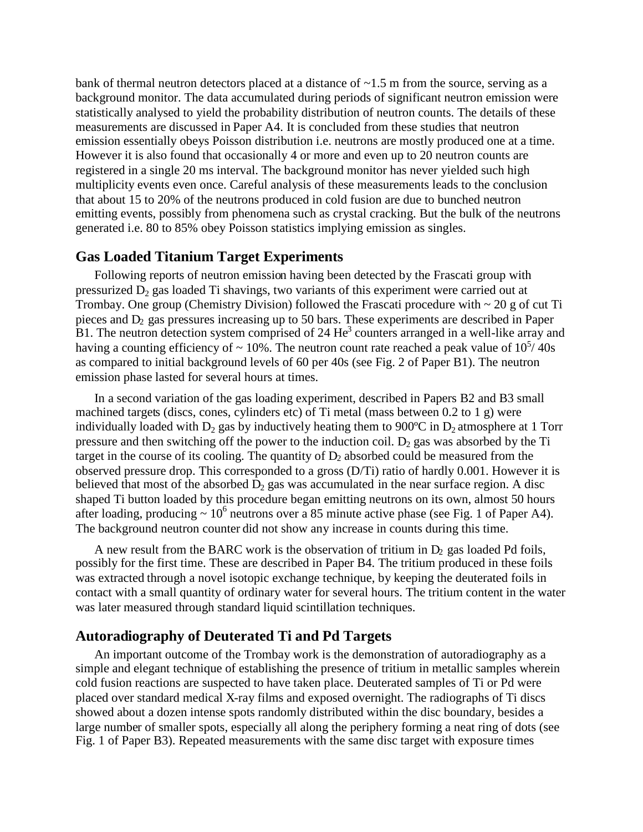bank of thermal neutron detectors placed at a distance of  $\sim$ 1.5 m from the source, serving as a background monitor. The data accumulated during periods of significant neutron emission were statistically analysed to yield the probability distribution of neutron counts. The details of these measurements are discussed in Paper A4. It is concluded from these studies that neutron emission essentially obeys Poisson distribution i.e. neutrons are mostly produced one at a time. However it is also found that occasionally 4 or more and even up to 20 neutron counts are registered in a single 20 ms interval. The background monitor has never yielded such high multiplicity events even once. Careful analysis of these measurements leads to the conclusion that about 15 to 20% of the neutrons produced in cold fusion are due to bunched neutron emitting events, possibly from phenomena such as crystal cracking. But the bulk of the neutrons generated i.e. 80 to 85% obey Poisson statistics implying emission as singles.

## **Gas Loaded Titanium Target Experiments**

Following reports of neutron emission having been detected by the Frascati group with pressurized  $D_2$  gas loaded Ti shavings, two variants of this experiment were carried out at Trombay. One group (Chemistry Division) followed the Frascati procedure with  $\sim 20$  g of cut Ti pieces and D<sup>2</sup> gas pressures increasing up to 50 bars. These experiments are described in Paper B1. The neutron detection system comprised of 24 He<sup>3</sup> counters arranged in a well-like array and having a counting efficiency of  $\sim 10\%$ . The neutron count rate reached a peak value of  $10^{5/40}$ s as compared to initial background levels of 60 per 40s (see Fig. 2 of Paper B1). The neutron emission phase lasted for several hours at times.

In a second variation of the gas loading experiment, described in Papers B2 and B3 small machined targets (discs, cones, cylinders etc) of Ti metal (mass between 0.2 to 1 g) were individually loaded with  $D_2$  gas by inductively heating them to 900°C in  $D_2$  atmosphere at 1 Torr pressure and then switching off the power to the induction coil.  $D_2$  gas was absorbed by the Ti target in the course of its cooling. The quantity of  $D_2$  absorbed could be measured from the observed pressure drop. This corresponded to a gross (D/Ti) ratio of hardly 0.001. However it is believed that most of the absorbed  $D_2$  gas was accumulated in the near surface region. A disc shaped Ti button loaded by this procedure began emitting neutrons on its own, almost 50 hours after loading, producing  $\sim 10^6$  neutrons over a 85 minute active phase (see Fig. 1 of Paper A4). The background neutron counter did not show any increase in counts during this time.

A new result from the BARC work is the observation of tritium in  $D_2$  gas loaded Pd foils, possibly for the first time. These are described in Paper B4. The tritium produced in these foils was extracted through a novel isotopic exchange technique, by keeping the deuterated foils in contact with a small quantity of ordinary water for several hours. The tritium content in the water was later measured through standard liquid scintillation techniques.

### **Autoradiography of Deuterated Ti and Pd Targets**

An important outcome of the Trombay work is the demonstration of autoradiography as a simple and elegant technique of establishing the presence of tritium in metallic samples wherein cold fusion reactions are suspected to have taken place. Deuterated samples of Ti or Pd were placed over standard medical X-ray films and exposed overnight. The radiographs of Ti discs showed about a dozen intense spots randomly distributed within the disc boundary, besides a large number of smaller spots, especially all along the periphery forming a neat ring of dots (see Fig. 1 of Paper B3). Repeated measurements with the same disc target with exposure times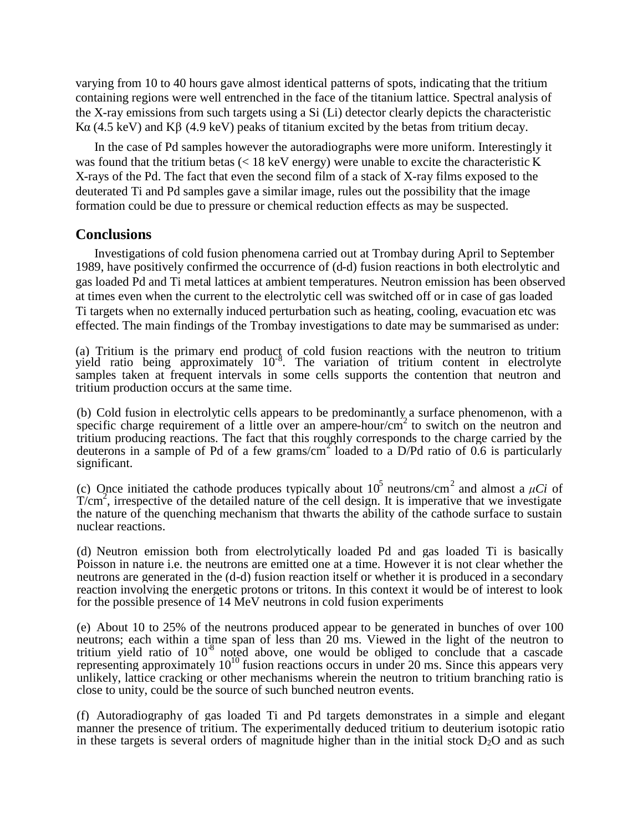varying from 10 to 40 hours gave almost identical patterns of spots, indicating that the tritium containing regions were well entrenched in the face of the titanium lattice. Spectral analysis of the X-ray emissions from such targets using a Si (Li) detector clearly depicts the characteristic Kα(4.5 keV) and K $\beta$  (4.9 keV) peaks of titanium excited by the betas from tritium decay.

In the case of Pd samples however the autoradiographs were more uniform. Interestingly it was found that the tritium betas (< 18 keV energy) were unable to excite the characteristic K X-rays of the Pd. The fact that even the second film of a stack of X-ray films exposed to the deuterated Ti and Pd samples gave a similar image, rules out the possibility that the image formation could be due to pressure or chemical reduction effects as may be suspected.

## **Conclusions**

Investigations of cold fusion phenomena carried out at Trombay during April to September 1989, have positively confirmed the occurrence of (d-d) fusion reactions in both electrolytic and gas loaded Pd and Ti metal lattices at ambient temperatures. Neutron emission has been observed at times even when the current to the electrolytic cell was switched off or in case of gas loaded Ti targets when no externally induced perturbation such as heating, cooling, evacuation etc was effected. The main findings of the Trombay investigations to date may be summarised as under:

(a) Tritium is the primary end product of cold fusion reactions with the neutron to tritium yield ratio being approximately 10-8 . The variation of tritium content in electrolyte samples taken at frequent intervals in some cells supports the contention that neutron and tritium production occurs at the same time.

(b) Cold fusion in electrolytic cells appears to be predominantly a surface phenomenon, with a specific charge requirement of a little over an ampere-hour/ $cm^2$  to switch on the neutron and tritium producing reactions. The fact that this roughly corresponds to the charge carried by the deuterons in a sample of Pd of a few grams/cm<sup>2</sup> loaded to a D/Pd ratio of 0.6 is particularly significant.

(c) Once initiated the cathode produces typically about  $10^5$  neutrons/cm<sup>2</sup> and almost a  $\mu$ Ci of  $T/cm<sup>2</sup>$ , irrespective of the detailed nature of the cell design. It is imperative that we investigate the nature of the quenching mechanism that thwarts the ability of the cathode surface to sustain nuclear reactions.

(d) Neutron emission both from electrolytically loaded Pd and gas loaded Ti is basically Poisson in nature i.e. the neutrons are emitted one at a time. However it is not clear whether the neutrons are generated in the (d-d) fusion reaction itself or whether it is produced in a secondary reaction involving the energetic protons or tritons. In this context it would be of interest to look for the possible presence of 14 MeV neutrons in cold fusion experiments

(e) About 10 to 25% of the neutrons produced appear to be generated in bunches of over 100 neutrons; each within a time span of less than 20 ms. Viewed in the light of the neutron to tritium yield ratio of 10-8 noted above, one would be obliged to conclude that a cascade representing approximately  $10^{10}$  fusion reactions occurs in under 20 ms. Since this appears very unlikely, lattice cracking or other mechanisms wherein the neutron to tritium branching ratio is close to unity, could be the source of such bunched neutron events.

(f) Autoradiography of gas loaded Ti and Pd targets demonstrates in a simple and elegant manner the presence of tritium. The experimentally deduced tritium to deuterium isotopic ratio in these targets is several orders of magnitude higher than in the initial stock  $D_2O$  and as such